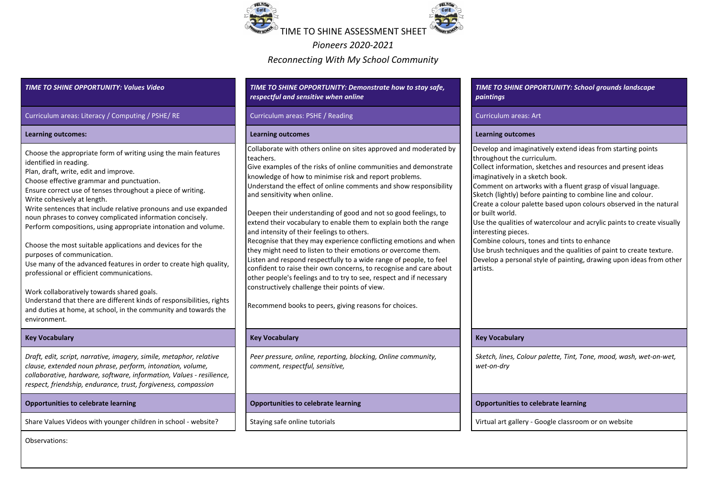

*Pioneers 2020-2021 Reconnecting With My School Community*

*TIME TO SHINE OPPORTUNITY: Values Video TIME TO SHINE OPPORTUNITY: Demonstrate how to stay safe, respectful and sensitive when online TIME TO SHINE OPPORTUNITY: School grounds landscape paintings* Curriculum areas: Literacy / Computing / PSHE/ RE Curriculum areas: PSHE / Reading Curriculum areas: Art Curriculum areas: Art **Learning outcomes: Learning outcomes Learning outcomes** Choose the appropriate form of writing using the main features identified in reading. Plan, draft, write, edit and improve. Choose effective grammar and punctuation. Ensure correct use of tenses throughout a piece of writing. Write cohesively at length. Write sentences that include relative pronouns and use expanded noun phrases to convey complicated information concisely. Perform compositions, using appropriate intonation and volume. Choose the most suitable applications and devices for the purposes of communication. Use many of the advanced features in order to create high quality, professional or efficient communications. Work collaboratively towards shared goals. Understand that there are different kinds of responsibilities, rights and duties at home, at school, in the community and towards the environment. Collaborate with others online on sites approved and moderated by teachers. Give examples of the risks of online communities and demonstrate knowledge of how to minimise risk and report problems. Understand the effect of online comments and show responsibility and sensitivity when online. Deepen their understanding of good and not so good feelings, to extend their vocabulary to enable them to explain both the range and intensity of their feelings to others. Recognise that they may experience conflicting emotions and when they might need to listen to their emotions or overcome them. Listen and respond respectfully to a wide range of people, to feel confident to raise their own concerns, to recognise and care about other people's feelings and to try to see, respect and if necessary constructively challenge their points of view. Recommend books to peers, giving reasons for choices. Develop and imaginatively extend ideas from starting points throughout the curriculum. Collect information, sketches and resources and present ideas imaginatively in a sketch book. Comment on artworks with a fluent grasp of visual language. Sketch (lightly) before painting to combine line and colour. Create a colour palette based upon colours observed in the natural or built world. Use the qualities of watercolour and acrylic paints to create visually interesting pieces. Combine colours, tones and tints to enhance Use brush techniques and the qualities of paint to create texture. Develop a personal style of painting, drawing upon ideas from other artists. **Key Vocabulary Key Vocabulary Key Vocabulary** *Draft, edit, script, narrative, imagery, simile, metaphor, relative clause, extended noun phrase, perform, intonation, volume, collaborative, hardware, software, information, Values - resilience, respect, friendship, endurance, trust, forgiveness, compassion Peer pressure, online, reporting, blocking, Online community, comment, respectful, sensitive, Sketch, lines, Colour palette, Tint, Tone, mood, wash, wet-on-wet, wet-on-dry*

Observations:

## **Opportunities to celebrate learning Opportunities to celebrate learning Opportunities to celebrate learning**

Share Values Videos with younger children in school - website? Staying safe online tutorials Share Virtual art gallery - Google classroom or on website